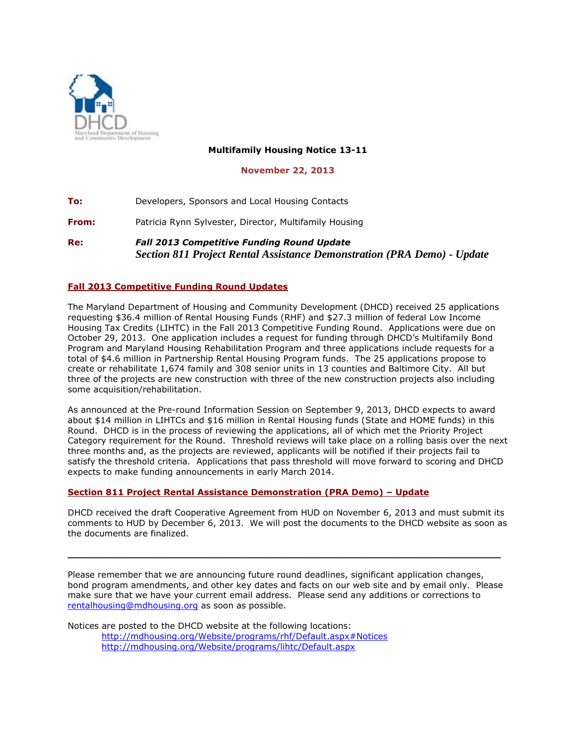

## **Multifamily Housing Notice 13-11**

## **November 22, 2013**

**To:** Developers, Sponsors and Local Housing Contacts **From:** Patricia Rynn Sylvester, Director, Multifamily Housing **Re:** *Fall 2013 Competitive Funding Round Update Section 811 Project Rental Assistance Demonstration (PRA Demo) - Update*

## **Fall 2013 Competitive Funding Round Updates**

The Maryland Department of Housing and Community Development (DHCD) received 25 applications requesting \$36.4 million of Rental Housing Funds (RHF) and \$27.3 million of federal Low Income Housing Tax Credits (LIHTC) in the Fall 2013 Competitive Funding Round. Applications were due on October 29, 2013. One application includes a request for funding through DHCD's Multifamily Bond Program and Maryland Housing Rehabilitation Program and three applications include requests for a total of \$4.6 million in Partnership Rental Housing Program funds. The 25 applications propose to create or rehabilitate 1,674 family and 308 senior units in 13 counties and Baltimore City. All but three of the projects are new construction with three of the new construction projects also including some acquisition/rehabilitation.

As announced at the Pre-round Information Session on September 9, 2013, DHCD expects to award about \$14 million in LIHTCs and \$16 million in Rental Housing funds (State and HOME funds) in this Round. DHCD is in the process of reviewing the applications, all of which met the Priority Project Category requirement for the Round. Threshold reviews will take place on a rolling basis over the next three months and, as the projects are reviewed, applicants will be notified if their projects fail to satisfy the threshold criteria. Applications that pass threshold will move forward to scoring and DHCD expects to make funding announcements in early March 2014.

## **Section 811 Project Rental Assistance Demonstration (PRA Demo) – Update**

DHCD received the draft Cooperative Agreement from HUD on November 6, 2013 and must submit its comments to HUD by December 6, 2013. We will post the documents to the DHCD website as soon as the documents are finalized.

Please remember that we are announcing future round deadlines, significant application changes, bond program amendments, and other key dates and facts on our web site and by email only. Please make sure that we have your current email address. Please send any additions or corrections to [rentalhousing@mdhousing.org](mailto:rentalhousing@mdhousing.org) as soon as possible.

**\_\_\_\_\_\_\_\_\_\_\_\_\_\_\_\_\_\_\_\_\_\_\_\_\_\_\_\_\_\_\_\_\_\_\_\_\_\_\_\_\_\_\_\_\_\_\_\_\_\_\_\_\_\_\_\_\_\_\_\_\_\_\_\_\_\_\_\_\_\_\_\_**

Notices are posted to the DHCD website at the following locations: <http://mdhousing.org/Website/programs/rhf/Default.aspx#Notices> <http://mdhousing.org/Website/programs/lihtc/Default.aspx>